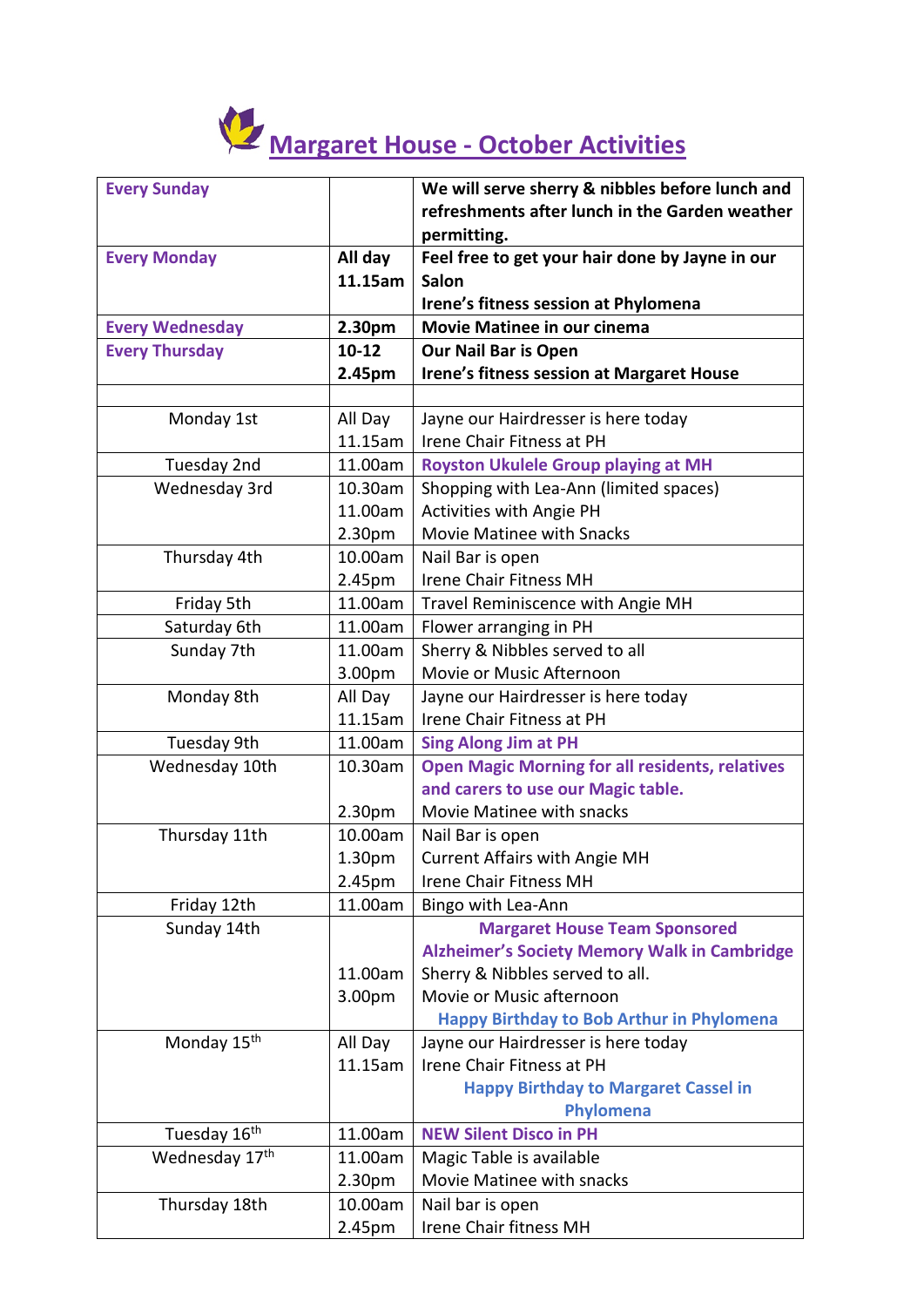

| <b>Every Sunday</b>      |                    | We will serve sherry & nibbles before lunch and        |
|--------------------------|--------------------|--------------------------------------------------------|
|                          |                    | refreshments after lunch in the Garden weather         |
|                          |                    | permitting.                                            |
| <b>Every Monday</b>      | All day            | Feel free to get your hair done by Jayne in our        |
|                          | 11.15am            | <b>Salon</b>                                           |
|                          |                    | Irene's fitness session at Phylomena                   |
| <b>Every Wednesday</b>   | 2.30pm             | Movie Matinee in our cinema                            |
| <b>Every Thursday</b>    | $10-12$            | <b>Our Nail Bar is Open</b>                            |
|                          | 2.45pm             | <b>Irene's fitness session at Margaret House</b>       |
|                          |                    |                                                        |
| Monday 1st               | All Day            | Jayne our Hairdresser is here today                    |
|                          | 11.15am            | Irene Chair Fitness at PH                              |
| Tuesday 2nd              | 11.00am            | <b>Royston Ukulele Group playing at MH</b>             |
| Wednesday 3rd            | 10.30am            | Shopping with Lea-Ann (limited spaces)                 |
|                          | 11.00am            | Activities with Angie PH                               |
|                          | 2.30 <sub>pm</sub> | Movie Matinee with Snacks                              |
| Thursday 4th             | 10.00am            | Nail Bar is open                                       |
|                          | 2.45pm             | <b>Irene Chair Fitness MH</b>                          |
| Friday 5th               | 11.00am            | Travel Reminiscence with Angie MH                      |
| Saturday 6th             | 11.00am            | Flower arranging in PH                                 |
| Sunday 7th               | 11.00am            | Sherry & Nibbles served to all                         |
|                          | 3.00pm             | Movie or Music Afternoon                               |
| Monday 8th               | All Day            | Jayne our Hairdresser is here today                    |
|                          | 11.15am            | Irene Chair Fitness at PH                              |
| Tuesday 9th              | 11.00am            | <b>Sing Along Jim at PH</b>                            |
| Wednesday 10th           | 10.30am            | <b>Open Magic Morning for all residents, relatives</b> |
|                          |                    | and carers to use our Magic table.                     |
|                          | 2.30 <sub>pm</sub> | Movie Matinee with snacks                              |
| Thursday 11th            | 10.00am            | Nail Bar is open                                       |
|                          | 1.30pm             | <b>Current Affairs with Angie MH</b>                   |
|                          | 2.45pm             | <b>Irene Chair Fitness MH</b>                          |
| Friday 12th              | 11.00am            | Bingo with Lea-Ann                                     |
| Sunday 14th              |                    | <b>Margaret House Team Sponsored</b>                   |
|                          |                    | <b>Alzheimer's Society Memory Walk in Cambridge</b>    |
|                          | 11.00am            | Sherry & Nibbles served to all.                        |
|                          | 3.00pm             | Movie or Music afternoon                               |
|                          |                    | <b>Happy Birthday to Bob Arthur in Phylomena</b>       |
| Monday 15 <sup>th</sup>  | All Day            | Jayne our Hairdresser is here today                    |
|                          | 11.15am            | Irene Chair Fitness at PH                              |
|                          |                    | <b>Happy Birthday to Margaret Cassel in</b>            |
|                          |                    | Phylomena                                              |
| Tuesday 16 <sup>th</sup> | 11.00am            | <b>NEW Silent Disco in PH</b>                          |
| Wednesday 17th           | 11.00am            | Magic Table is available                               |
|                          | 2.30 <sub>pm</sub> | Movie Matinee with snacks                              |
| Thursday 18th            | 10.00am            | Nail bar is open                                       |
|                          | 2.45pm             | Irene Chair fitness MH                                 |